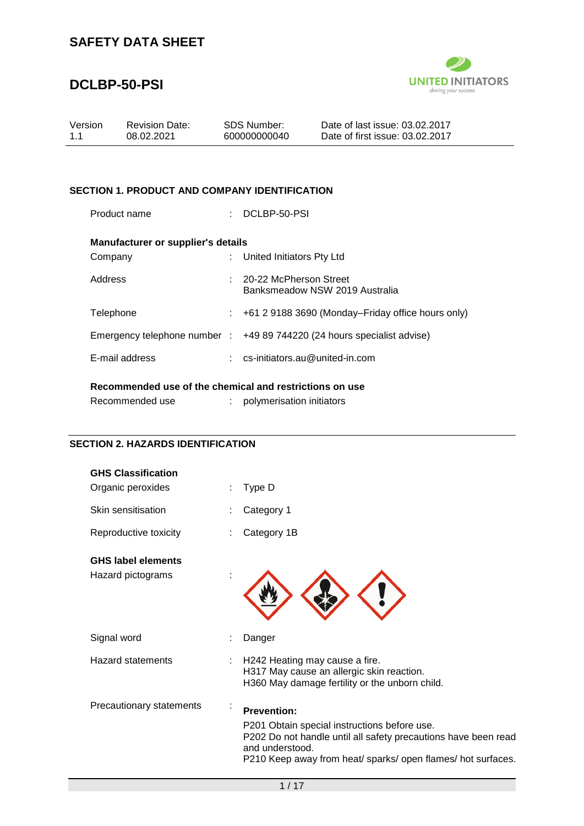### **DCLBP-50-PSI**



| Version | <b>Revision Date:</b> | SDS Number:  | Date of last issue: 03.02.2017  |
|---------|-----------------------|--------------|---------------------------------|
| 1.1     | 08.02.2021            | 600000000040 | Date of first issue: 03.02.2017 |
|         |                       |              |                                 |

### **SECTION 1. PRODUCT AND COMPANY IDENTIFICATION**

| Product name                                            |    | DCLBP-50-PSI                                                                       |  |  |
|---------------------------------------------------------|----|------------------------------------------------------------------------------------|--|--|
| <b>Manufacturer or supplier's details</b>               |    |                                                                                    |  |  |
| Company                                                 |    | United Initiators Pty Ltd                                                          |  |  |
| Address                                                 |    | $: 20-22$ McPherson Street<br>Banksmeadow NSW 2019 Australia                       |  |  |
| Telephone                                               | t. | +61 2 9188 3690 (Monday–Friday office hours only)                                  |  |  |
|                                                         |    | Emergency telephone number $\therefore$ +49 89 744220 (24 hours specialist advise) |  |  |
| E-mail address                                          |    | $:$ cs-initiators.au@united-in.com                                                 |  |  |
| Recommended use of the chemical and restrictions on use |    |                                                                                    |  |  |

Recommended use : polymerisation initiators

#### **SECTION 2. HAZARDS IDENTIFICATION**

| <b>GHS Classification</b> |                                                                                                                                                                                                                         |
|---------------------------|-------------------------------------------------------------------------------------------------------------------------------------------------------------------------------------------------------------------------|
| Organic peroxides         | Type D                                                                                                                                                                                                                  |
| Skin sensitisation        | Category 1                                                                                                                                                                                                              |
| Reproductive toxicity     | Category 1B                                                                                                                                                                                                             |
| <b>GHS label elements</b> |                                                                                                                                                                                                                         |
| Hazard pictograms         |                                                                                                                                                                                                                         |
| Signal word               | Danger                                                                                                                                                                                                                  |
| <b>Hazard statements</b>  | H242 Heating may cause a fire.<br>H317 May cause an allergic skin reaction.<br>H360 May damage fertility or the unborn child.                                                                                           |
| Precautionary statements  | <b>Prevention:</b><br>P201 Obtain special instructions before use.<br>P202 Do not handle until all safety precautions have been read<br>and understood.<br>P210 Keep away from heat/ sparks/ open flames/ hot surfaces. |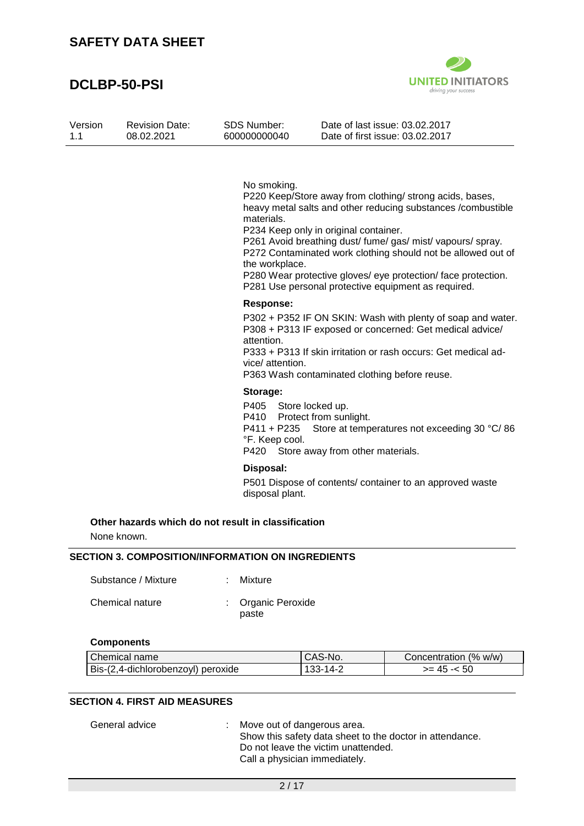### **DCLBP-50-PSI**



| Version | <b>Revision Date:</b> | SDS Number:  | Date of last issue: 03.02.2017  |
|---------|-----------------------|--------------|---------------------------------|
| 1.1     | 08.02.2021            | 600000000040 | Date of first issue: 03.02.2017 |

No smoking.

P220 Keep/Store away from clothing/ strong acids, bases, heavy metal salts and other reducing substances /combustible materials.

P234 Keep only in original container.

P261 Avoid breathing dust/ fume/ gas/ mist/ vapours/ spray. P272 Contaminated work clothing should not be allowed out of the workplace.

P280 Wear protective gloves/ eye protection/ face protection. P281 Use personal protective equipment as required.

#### **Response:**

P302 + P352 IF ON SKIN: Wash with plenty of soap and water. P308 + P313 IF exposed or concerned: Get medical advice/ attention.

P333 + P313 If skin irritation or rash occurs: Get medical advice/ attention.

P363 Wash contaminated clothing before reuse.

#### **Storage:**

P405 Store locked up. P410 Protect from sunlight. P411 + P235 Store at temperatures not exceeding 30 °C/ 86 °F. Keep cool. P420 Store away from other materials.

#### **Disposal:**

P501 Dispose of contents/ container to an approved waste disposal plant.

#### **Other hazards which do not result in classification**

None known.

#### **SECTION 3. COMPOSITION/INFORMATION ON INGREDIENTS**

| Substance / Mixture | : Mixture                   |
|---------------------|-----------------------------|
| Chemical nature     | : Organic Peroxide<br>paste |

#### **Components**

| Chemical name                      | CAS-No.  | Concentration (% w/w) |
|------------------------------------|----------|-----------------------|
| Bis-(2,4-dichlorobenzoyl) peroxide | 133-14-2 | $>= 45 - 50$          |

#### **SECTION 4. FIRST AID MEASURES**

| : Move out of dangerous area.                            |
|----------------------------------------------------------|
| Show this safety data sheet to the doctor in attendance. |
| Do not leave the victim unattended.                      |
| Call a physician immediately.                            |
|                                                          |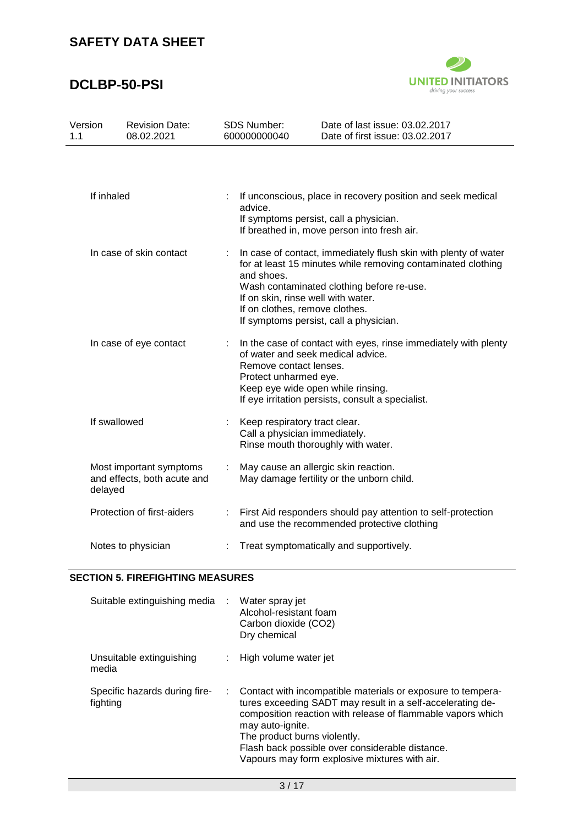# **DCLBP-50-PSI**



| Version<br>1.1 | <b>Revision Date:</b><br>08.02.2021                    | <b>SDS Number:</b><br>600000000040                                                                                        | Date of last issue: 03.02.2017<br>Date of first issue: 03.02.2017                                                                                   |
|----------------|--------------------------------------------------------|---------------------------------------------------------------------------------------------------------------------------|-----------------------------------------------------------------------------------------------------------------------------------------------------|
| If inhaled     |                                                        | advice.                                                                                                                   | If unconscious, place in recovery position and seek medical<br>If symptoms persist, call a physician.                                               |
|                | In case of skin contact                                |                                                                                                                           | If breathed in, move person into fresh air.<br>In case of contact, immediately flush skin with plenty of water                                      |
|                |                                                        | and shoes.<br>If on skin, rinse well with water.<br>If on clothes, remove clothes.                                        | for at least 15 minutes while removing contaminated clothing<br>Wash contaminated clothing before re-use.<br>If symptoms persist, call a physician. |
|                | In case of eye contact                                 | of water and seek medical advice.<br>Remove contact lenses.<br>Protect unharmed eye.<br>Keep eye wide open while rinsing. | In the case of contact with eyes, rinse immediately with plenty<br>If eye irritation persists, consult a specialist.                                |
| If swallowed   |                                                        | Keep respiratory tract clear.<br>Call a physician immediately.<br>Rinse mouth thoroughly with water.                      |                                                                                                                                                     |
| delayed        | Most important symptoms<br>and effects, both acute and | May cause an allergic skin reaction.                                                                                      | May damage fertility or the unborn child.                                                                                                           |
|                | Protection of first-aiders                             |                                                                                                                           | First Aid responders should pay attention to self-protection<br>and use the recommended protective clothing                                         |
|                | Notes to physician                                     |                                                                                                                           | Treat symptomatically and supportively.                                                                                                             |

#### **SECTION 5. FIREFIGHTING MEASURES**

| Suitable extinguishing media : Water spray jet | Alcohol-resistant foam<br>Carbon dioxide (CO2)<br>Dry chemical                                                                                                                                                                                                                                                                                   |
|------------------------------------------------|--------------------------------------------------------------------------------------------------------------------------------------------------------------------------------------------------------------------------------------------------------------------------------------------------------------------------------------------------|
| Unsuitable extinguishing<br>media              | High volume water jet                                                                                                                                                                                                                                                                                                                            |
| Specific hazards during fire-<br>fighting      | Contact with incompatible materials or exposure to tempera-<br>tures exceeding SADT may result in a self-accelerating de-<br>composition reaction with release of flammable vapors which<br>may auto-ignite.<br>The product burns violently.<br>Flash back possible over considerable distance.<br>Vapours may form explosive mixtures with air. |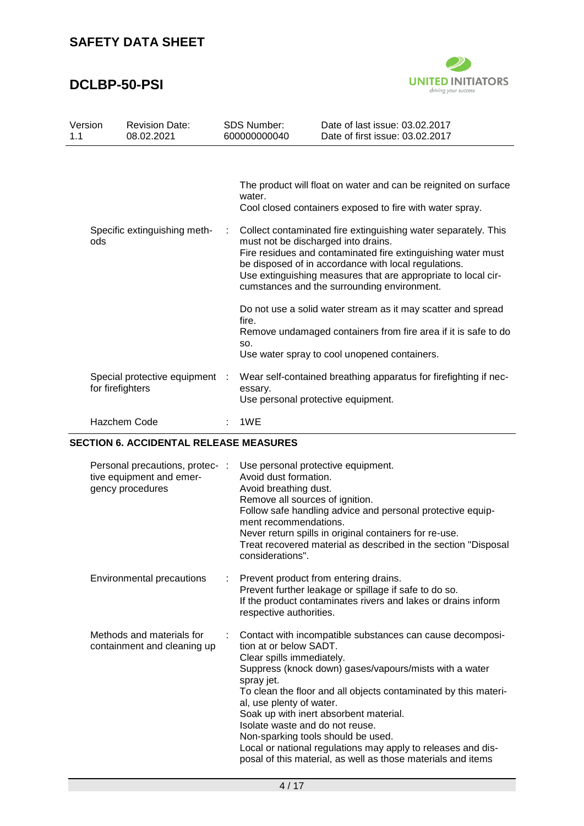# **DCLBP-50-PSI**



| Version<br>1.1 | <b>Revision Date:</b><br>08.02.2021                |   | <b>SDS Number:</b><br>600000000040 | Date of last issue: 03.02.2017<br>Date of first issue: 03.02.2017                                                                                                                                                                                                           |
|----------------|----------------------------------------------------|---|------------------------------------|-----------------------------------------------------------------------------------------------------------------------------------------------------------------------------------------------------------------------------------------------------------------------------|
|                | Specific extinguishing meth-                       | ÷ | water.                             | The product will float on water and can be reignited on surface<br>Cool closed containers exposed to fire with water spray.<br>Collect contaminated fire extinguishing water separately. This                                                                               |
| ods            |                                                    |   |                                    | must not be discharged into drains.<br>Fire residues and contaminated fire extinguishing water must<br>be disposed of in accordance with local regulations.<br>Use extinguishing measures that are appropriate to local cir-<br>cumstances and the surrounding environment. |
|                |                                                    |   | fire.<br>SO.                       | Do not use a solid water stream as it may scatter and spread<br>Remove undamaged containers from fire area if it is safe to do<br>Use water spray to cool unopened containers.                                                                                              |
|                | Special protective equipment :<br>for firefighters |   | essary.                            | Wear self-contained breathing apparatus for firefighting if nec-<br>Use personal protective equipment.                                                                                                                                                                      |
|                | <b>Hazchem Code</b>                                |   | 1WE                                |                                                                                                                                                                                                                                                                             |

#### **SECTION 6. ACCIDENTAL RELEASE MEASURES**

| Personal precautions, protec-:<br>tive equipment and emer-<br>gency procedures | Use personal protective equipment.<br>Avoid dust formation.<br>Avoid breathing dust.<br>Remove all sources of ignition.<br>Follow safe handling advice and personal protective equip-<br>ment recommendations.<br>Never return spills in original containers for re-use.<br>Treat recovered material as described in the section "Disposal<br>considerations".                                                                                                                                                                             |
|--------------------------------------------------------------------------------|--------------------------------------------------------------------------------------------------------------------------------------------------------------------------------------------------------------------------------------------------------------------------------------------------------------------------------------------------------------------------------------------------------------------------------------------------------------------------------------------------------------------------------------------|
| Environmental precautions                                                      | Prevent product from entering drains.<br>Prevent further leakage or spillage if safe to do so.<br>If the product contaminates rivers and lakes or drains inform<br>respective authorities.                                                                                                                                                                                                                                                                                                                                                 |
| Methods and materials for<br>containment and cleaning up                       | Contact with incompatible substances can cause decomposi-<br>tion at or below SADT.<br>Clear spills immediately.<br>Suppress (knock down) gases/vapours/mists with a water<br>spray jet.<br>To clean the floor and all objects contaminated by this materi-<br>al, use plenty of water.<br>Soak up with inert absorbent material.<br>Isolate waste and do not reuse.<br>Non-sparking tools should be used.<br>Local or national regulations may apply to releases and dis-<br>posal of this material, as well as those materials and items |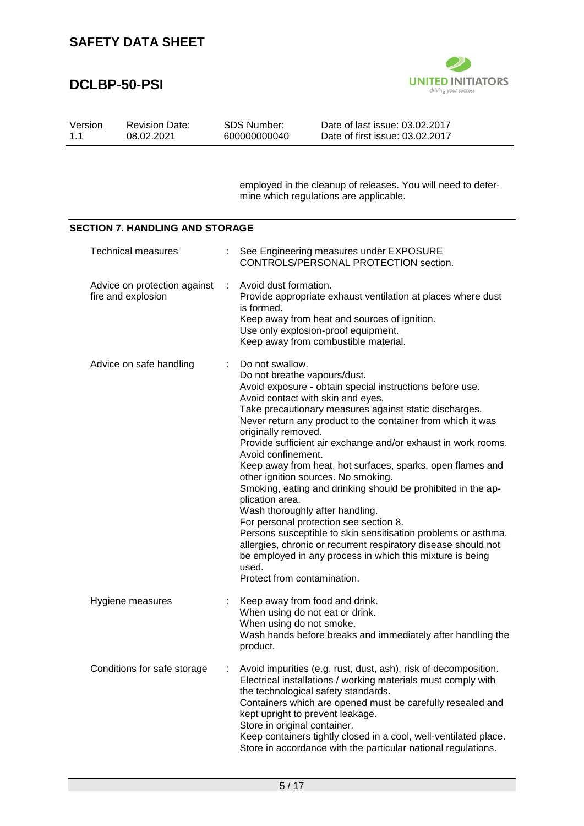### **DCLBP-50-PSI**



| Version | <b>Revision Date:</b> | SDS Number:  | Date of last issue: 03.02.2017  |
|---------|-----------------------|--------------|---------------------------------|
| 11      | 08.02.2021            | 600000000040 | Date of first issue: 03.02.2017 |
|         |                       |              |                                 |

employed in the cleanup of releases. You will need to determine which regulations are applicable.

#### **SECTION 7. HANDLING AND STORAGE**

| <b>Technical measures</b>                          |    | See Engineering measures under EXPOSURE<br>CONTROLS/PERSONAL PROTECTION section.                                                                                                                                                                                                                                                                                                                                                                                                                                                                                                                                                                                                                                                                                                                                                                                                                     |
|----------------------------------------------------|----|------------------------------------------------------------------------------------------------------------------------------------------------------------------------------------------------------------------------------------------------------------------------------------------------------------------------------------------------------------------------------------------------------------------------------------------------------------------------------------------------------------------------------------------------------------------------------------------------------------------------------------------------------------------------------------------------------------------------------------------------------------------------------------------------------------------------------------------------------------------------------------------------------|
| Advice on protection against<br>fire and explosion |    | Avoid dust formation.<br>Provide appropriate exhaust ventilation at places where dust<br>is formed.<br>Keep away from heat and sources of ignition.<br>Use only explosion-proof equipment.<br>Keep away from combustible material.                                                                                                                                                                                                                                                                                                                                                                                                                                                                                                                                                                                                                                                                   |
| Advice on safe handling                            | ÷  | Do not swallow.<br>Do not breathe vapours/dust.<br>Avoid exposure - obtain special instructions before use.<br>Avoid contact with skin and eyes.<br>Take precautionary measures against static discharges.<br>Never return any product to the container from which it was<br>originally removed.<br>Provide sufficient air exchange and/or exhaust in work rooms.<br>Avoid confinement.<br>Keep away from heat, hot surfaces, sparks, open flames and<br>other ignition sources. No smoking.<br>Smoking, eating and drinking should be prohibited in the ap-<br>plication area.<br>Wash thoroughly after handling.<br>For personal protection see section 8.<br>Persons susceptible to skin sensitisation problems or asthma,<br>allergies, chronic or recurrent respiratory disease should not<br>be employed in any process in which this mixture is being<br>used.<br>Protect from contamination. |
| Hygiene measures                                   | ÷. | Keep away from food and drink.<br>When using do not eat or drink.<br>When using do not smoke.<br>Wash hands before breaks and immediately after handling the<br>product.                                                                                                                                                                                                                                                                                                                                                                                                                                                                                                                                                                                                                                                                                                                             |
| Conditions for safe storage                        | ÷  | Avoid impurities (e.g. rust, dust, ash), risk of decomposition.<br>Electrical installations / working materials must comply with<br>the technological safety standards.<br>Containers which are opened must be carefully resealed and<br>kept upright to prevent leakage.<br>Store in original container.<br>Keep containers tightly closed in a cool, well-ventilated place.<br>Store in accordance with the particular national regulations.                                                                                                                                                                                                                                                                                                                                                                                                                                                       |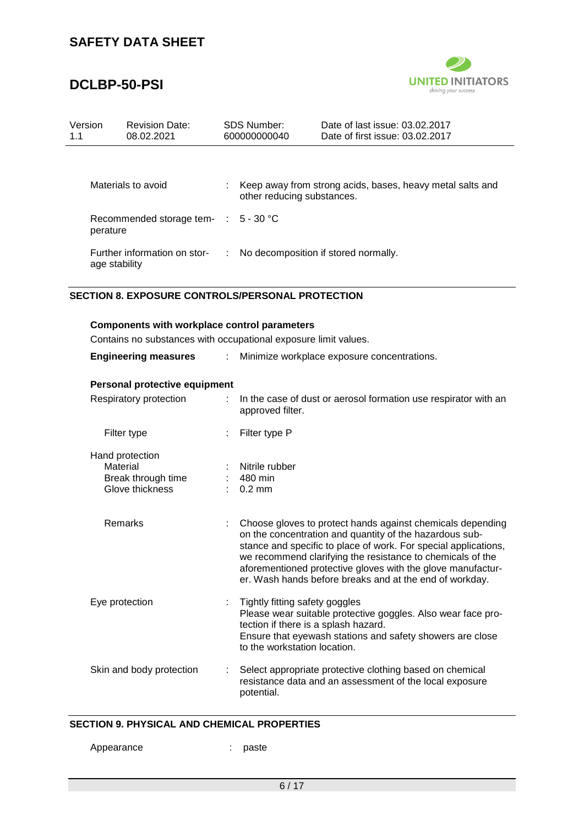### **DCLBP-50-PSI**



| Version<br>1.1 |                                                         | <b>Revision Date:</b><br>08.02.2021                             | <b>SDS Number:</b><br>600000000040 |                                       | Date of last issue: 03.02.2017<br>Date of first issue: 03.02.2017 |
|----------------|---------------------------------------------------------|-----------------------------------------------------------------|------------------------------------|---------------------------------------|-------------------------------------------------------------------|
|                |                                                         |                                                                 |                                    |                                       |                                                                   |
|                |                                                         | Materials to avoid                                              |                                    | other reducing substances.            | Keep away from strong acids, bases, heavy metal salts and         |
|                | perature                                                | Recommended storage tem- :                                      |                                    | $5 - 30 °C$                           |                                                                   |
|                | age stability                                           | Further information on stor-                                    | ÷.                                 |                                       | No decomposition if stored normally.                              |
|                | <b>SECTION 8. EXPOSURE CONTROLS/PERSONAL PROTECTION</b> |                                                                 |                                    |                                       |                                                                   |
|                |                                                         | <b>Components with workplace control parameters</b>             |                                    |                                       |                                                                   |
|                |                                                         | Contains no substances with occupational exposure limit values. |                                    |                                       |                                                                   |
|                |                                                         | <b>Engineering measures</b>                                     | $\mathcal{L}^{\mathcal{L}}$        |                                       | Minimize workplace exposure concentrations.                       |
|                |                                                         | Personal protective equipment                                   |                                    |                                       |                                                                   |
|                |                                                         | Respiratory protection                                          | t.                                 | approved filter.                      | In the case of dust or aerosol formation use respirator with an   |
|                |                                                         | Filter type                                                     |                                    | Filter type P                         |                                                                   |
|                | Material                                                | Hand protection<br>Break through time<br>Glove thickness        |                                    | Nitrile rubber<br>480 min<br>$0.2$ mm |                                                                   |

| Remarks        | Choose gloves to protect hands against chemicals depending<br>on the concentration and quantity of the hazardous sub-<br>stance and specific to place of work. For special applications,<br>we recommend clarifying the resistance to chemicals of the<br>aforementioned protective gloves with the glove manufactur-<br>er. Wash hands before breaks and at the end of workday. |
|----------------|----------------------------------------------------------------------------------------------------------------------------------------------------------------------------------------------------------------------------------------------------------------------------------------------------------------------------------------------------------------------------------|
| Eye protection | Tightly fitting safety goggles<br>Please wear suitable protective goggles. Also wear face pro-<br>tection if there is a splash hazard.<br>Ensure that eyewash stations and safety showers are close<br>to the workstation location.                                                                                                                                              |

#### Skin and body protection : Select appropriate protective clothing based on chemical resistance data and an assessment of the local exposure potential.

#### **SECTION 9. PHYSICAL AND CHEMICAL PROPERTIES**

Appearance : paste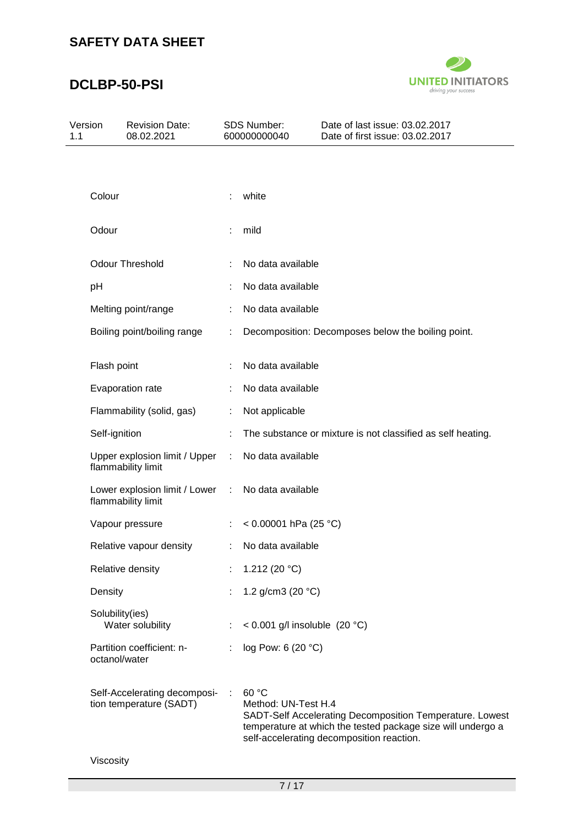# **DCLBP-50-PSI**



| Version<br>1.1 |                 | <b>Revision Date:</b><br>08.02.2021                     |           | <b>SDS Number:</b><br>600000000040 | Date of last issue: 03.02.2017<br>Date of first issue: 03.02.2017                                                                                                    |  |
|----------------|-----------------|---------------------------------------------------------|-----------|------------------------------------|----------------------------------------------------------------------------------------------------------------------------------------------------------------------|--|
|                |                 |                                                         |           |                                    |                                                                                                                                                                      |  |
|                | Colour          |                                                         |           | white                              |                                                                                                                                                                      |  |
|                | Odour           |                                                         |           | mild                               |                                                                                                                                                                      |  |
|                |                 | <b>Odour Threshold</b>                                  |           | No data available                  |                                                                                                                                                                      |  |
|                | pH              |                                                         |           | No data available                  |                                                                                                                                                                      |  |
|                |                 | Melting point/range                                     |           | No data available                  |                                                                                                                                                                      |  |
|                |                 | Boiling point/boiling range                             |           |                                    | Decomposition: Decomposes below the boiling point.                                                                                                                   |  |
|                | Flash point     |                                                         |           | No data available                  |                                                                                                                                                                      |  |
|                |                 | Evaporation rate                                        |           | No data available                  |                                                                                                                                                                      |  |
|                |                 | Flammability (solid, gas)                               | ÷         | Not applicable                     |                                                                                                                                                                      |  |
|                | Self-ignition   |                                                         |           |                                    | The substance or mixture is not classified as self heating.                                                                                                          |  |
|                |                 | Upper explosion limit / Upper<br>flammability limit     | ÷         | No data available                  |                                                                                                                                                                      |  |
|                |                 | Lower explosion limit / Lower<br>flammability limit     | $\sim$ 1. | No data available                  |                                                                                                                                                                      |  |
|                |                 | Vapour pressure                                         | t.        | < $0.00001$ hPa (25 °C)            |                                                                                                                                                                      |  |
|                |                 | Relative vapour density                                 | ÷.        | No data available                  |                                                                                                                                                                      |  |
|                |                 | Relative density                                        |           | 1.212 (20 $°C$ )                   |                                                                                                                                                                      |  |
|                | Density         |                                                         |           | 1.2 g/cm3 (20 $°C$ )               |                                                                                                                                                                      |  |
|                | Solubility(ies) | Water solubility                                        |           | < $0.001$ g/l insoluble (20 °C)    |                                                                                                                                                                      |  |
|                | octanol/water   | Partition coefficient: n-                               |           | log Pow: 6 (20 °C)                 |                                                                                                                                                                      |  |
|                |                 | Self-Accelerating decomposi-<br>tion temperature (SADT) | ÷         | 60 °C<br>Method: UN-Test H.4       | SADT-Self Accelerating Decomposition Temperature. Lowest<br>temperature at which the tested package size will undergo a<br>self-accelerating decomposition reaction. |  |

Viscosity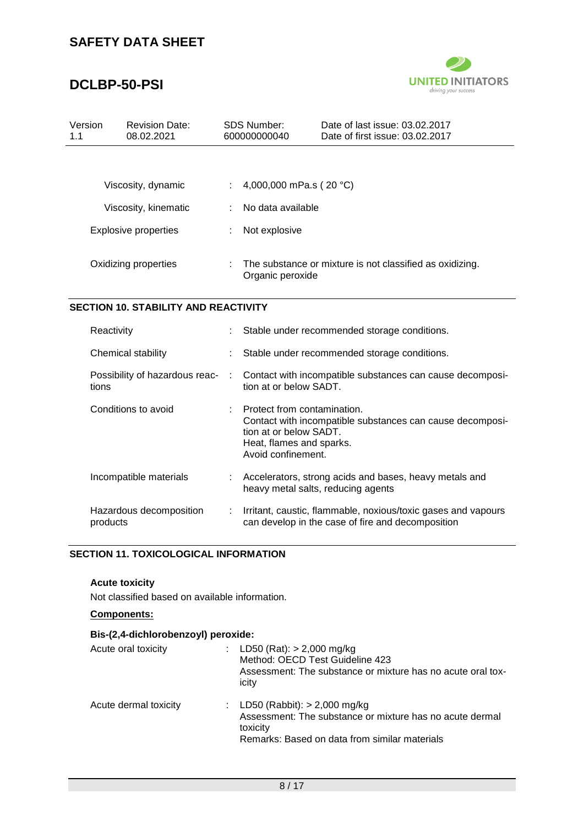# **DCLBP-50-PSI**



| Version<br>1.1 | <b>Revision Date:</b><br>08.02.2021 | <b>SDS Number:</b><br>600000000040 | Date of last issue: 03.02.2017<br>Date of first issue: 03.02.2017 |
|----------------|-------------------------------------|------------------------------------|-------------------------------------------------------------------|
|                |                                     |                                    |                                                                   |
|                | Viscosity, dynamic                  |                                    | 4,000,000 mPa.s ( $20 °C$ )                                       |
|                | Viscosity, kinematic                | No data available                  |                                                                   |
|                | <b>Explosive properties</b>         | Not explosive                      |                                                                   |
|                | Oxidizing properties                | Organic peroxide                   | The substance or mixture is not classified as oxidizing.          |

### **SECTION 10. STABILITY AND REACTIVITY**

| Reactivity                              | Stable under recommended storage conditions.                                                                                                                         |
|-----------------------------------------|----------------------------------------------------------------------------------------------------------------------------------------------------------------------|
| Chemical stability                      | Stable under recommended storage conditions.                                                                                                                         |
| Possibility of hazardous reac-<br>tions | Contact with incompatible substances can cause decomposi-<br>tion at or below SADT.                                                                                  |
| Conditions to avoid                     | Protect from contamination.<br>Contact with incompatible substances can cause decomposi-<br>tion at or below SADT.<br>Heat, flames and sparks.<br>Avoid confinement. |
| Incompatible materials                  | Accelerators, strong acids and bases, heavy metals and<br>heavy metal salts, reducing agents                                                                         |
| Hazardous decomposition<br>products     | Irritant, caustic, flammable, noxious/toxic gases and vapours<br>can develop in the case of fire and decomposition                                                   |

#### **SECTION 11. TOXICOLOGICAL INFORMATION**

#### **Acute toxicity**

Not classified based on available information.

#### **Components:**

### **Bis-(2,4-dichlorobenzoyl) peroxide:**

| Acute oral toxicity   | : LD50 (Rat): $> 2,000$ mg/kg<br>Method: OECD Test Guideline 423<br>Assessment: The substance or mixture has no acute oral tox-<br>icity                  |
|-----------------------|-----------------------------------------------------------------------------------------------------------------------------------------------------------|
| Acute dermal toxicity | : LD50 (Rabbit): $> 2,000$ mg/kg<br>Assessment: The substance or mixture has no acute dermal<br>toxicity<br>Remarks: Based on data from similar materials |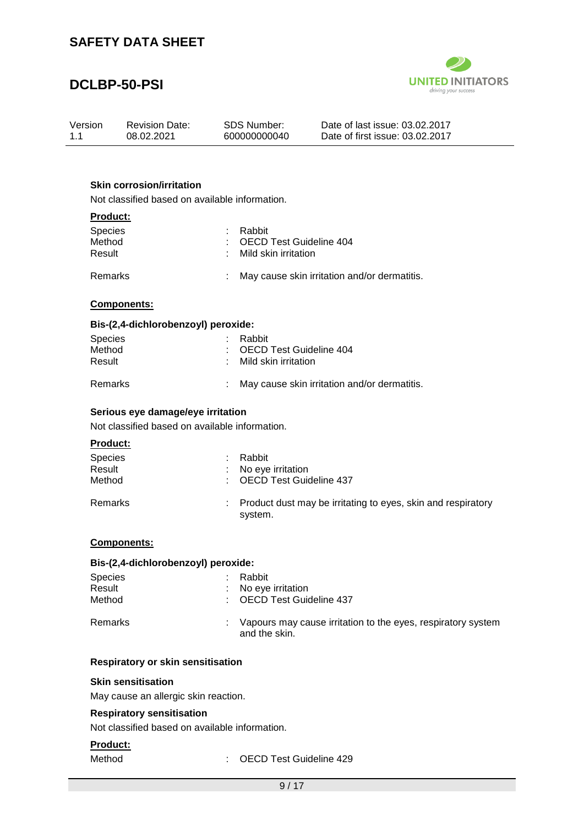### **DCLBP-50-PSI**



| Version | <b>Revision Date:</b> | SDS Number:  | Date of last issue: 03.02.2017  |
|---------|-----------------------|--------------|---------------------------------|
| 1.1     | 08.02.2021            | 600000000040 | Date of first issue: 03.02.2017 |

#### **Skin corrosion/irritation**

Not classified based on available information.

#### **Product:**

| <b>Species</b><br>Method<br>Result | : Rabbit<br>: OECD Test Guideline 404<br>: Mild skin irritation |  |
|------------------------------------|-----------------------------------------------------------------|--|
|                                    |                                                                 |  |

# Remarks : May cause skin irritation and/or dermatitis.

#### **Components:**

#### **Bis-(2,4-dichlorobenzoyl) peroxide:**

| <b>Species</b><br>Method<br>Result | : Rabbit<br>: OECD Test Guideline 404<br>: Mild skin irritation |
|------------------------------------|-----------------------------------------------------------------|
| Remarks                            | May cause skin irritation and/or dermatitis.                    |

### **Serious eye damage/eye irritation**

Not classified based on available information.

#### **Product:**

| Species<br>Result<br>Method | Rabbit<br>: No eye irritation<br>: OECD Test Guideline 437                |
|-----------------------------|---------------------------------------------------------------------------|
| Remarks                     | : Product dust may be irritating to eyes, skin and respiratory<br>system. |

#### **Components:**

#### **Bis-(2,4-dichlorobenzoyl) peroxide:**

| <b>Species</b><br>Result<br>Method | Rabbit<br>No eye irritation<br>: OECD Test Guideline 437                      |
|------------------------------------|-------------------------------------------------------------------------------|
| Remarks                            | Vapours may cause irritation to the eyes, respiratory system<br>and the skin. |

### **Respiratory or skin sensitisation**

#### **Skin sensitisation**

May cause an allergic skin reaction.

#### **Respiratory sensitisation**

Not classified based on available information.

#### **Product:**

Method : OECD Test Guideline 429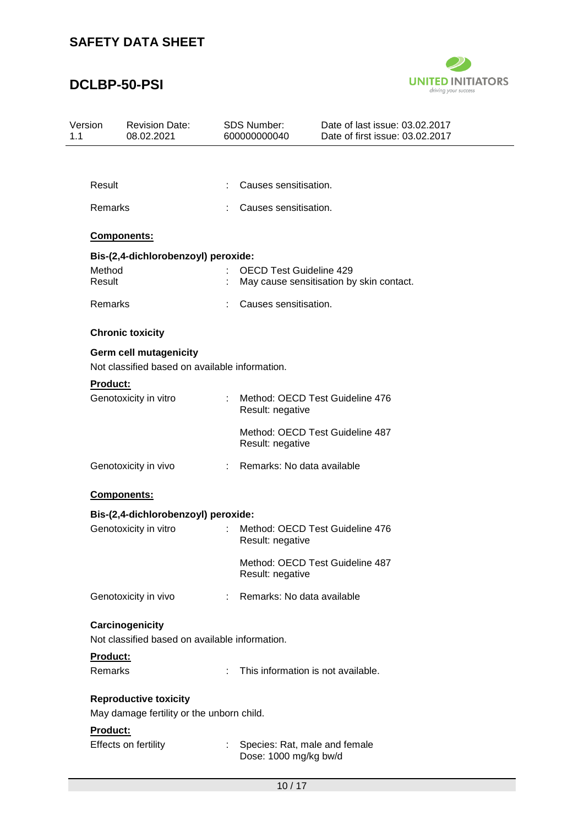# **DCLBP-50-PSI**



| Version<br>1.1                                                            |                                                                            | <b>Revision Date:</b><br>08.02.2021                                             |    | <b>SDS Number:</b><br>600000000040                                         | Date of last issue: 03.02.2017<br>Date of first issue: 03.02.2017 |  |  |
|---------------------------------------------------------------------------|----------------------------------------------------------------------------|---------------------------------------------------------------------------------|----|----------------------------------------------------------------------------|-------------------------------------------------------------------|--|--|
|                                                                           |                                                                            |                                                                                 |    |                                                                            |                                                                   |  |  |
|                                                                           | Result                                                                     |                                                                                 | ÷  | Causes sensitisation.                                                      |                                                                   |  |  |
|                                                                           | Remarks                                                                    |                                                                                 |    | Causes sensitisation.                                                      |                                                                   |  |  |
|                                                                           |                                                                            | Components:                                                                     |    |                                                                            |                                                                   |  |  |
|                                                                           |                                                                            | Bis-(2,4-dichlorobenzoyl) peroxide:                                             |    |                                                                            |                                                                   |  |  |
|                                                                           | Method<br>Result                                                           |                                                                                 |    | <b>OECD Test Guideline 429</b><br>May cause sensitisation by skin contact. |                                                                   |  |  |
|                                                                           | Remarks                                                                    |                                                                                 |    | Causes sensitisation.                                                      |                                                                   |  |  |
|                                                                           |                                                                            | <b>Chronic toxicity</b>                                                         |    |                                                                            |                                                                   |  |  |
|                                                                           |                                                                            | <b>Germ cell mutagenicity</b><br>Not classified based on available information. |    |                                                                            |                                                                   |  |  |
|                                                                           | <b>Product:</b>                                                            |                                                                                 |    |                                                                            |                                                                   |  |  |
|                                                                           |                                                                            | Genotoxicity in vitro                                                           | ÷. | Result: negative                                                           | Method: OECD Test Guideline 476                                   |  |  |
|                                                                           |                                                                            |                                                                                 |    | Result: negative                                                           | Method: OECD Test Guideline 487                                   |  |  |
|                                                                           | Genotoxicity in vivo<br>Components:<br>Bis-(2,4-dichlorobenzoyl) peroxide: |                                                                                 | t. | Remarks: No data available                                                 |                                                                   |  |  |
|                                                                           |                                                                            |                                                                                 |    |                                                                            |                                                                   |  |  |
|                                                                           |                                                                            |                                                                                 |    |                                                                            |                                                                   |  |  |
|                                                                           |                                                                            | Genotoxicity in vitro                                                           |    | Result: negative                                                           | Method: OECD Test Guideline 476                                   |  |  |
|                                                                           |                                                                            |                                                                                 |    | Result: negative                                                           | Method: OECD Test Guideline 487                                   |  |  |
|                                                                           |                                                                            | Genotoxicity in vivo                                                            | ÷  | Remarks: No data available                                                 |                                                                   |  |  |
|                                                                           |                                                                            | Carcinogenicity                                                                 |    |                                                                            |                                                                   |  |  |
|                                                                           |                                                                            | Not classified based on available information.                                  |    |                                                                            |                                                                   |  |  |
|                                                                           | Product:                                                                   |                                                                                 |    |                                                                            |                                                                   |  |  |
|                                                                           | Remarks                                                                    |                                                                                 | Ŧ. |                                                                            | This information is not available.                                |  |  |
| <b>Reproductive toxicity</b><br>May damage fertility or the unborn child. |                                                                            |                                                                                 |    |                                                                            |                                                                   |  |  |
|                                                                           | Product:                                                                   |                                                                                 |    |                                                                            |                                                                   |  |  |
|                                                                           |                                                                            | Effects on fertility                                                            |    | Dose: 1000 mg/kg bw/d                                                      | Species: Rat, male and female                                     |  |  |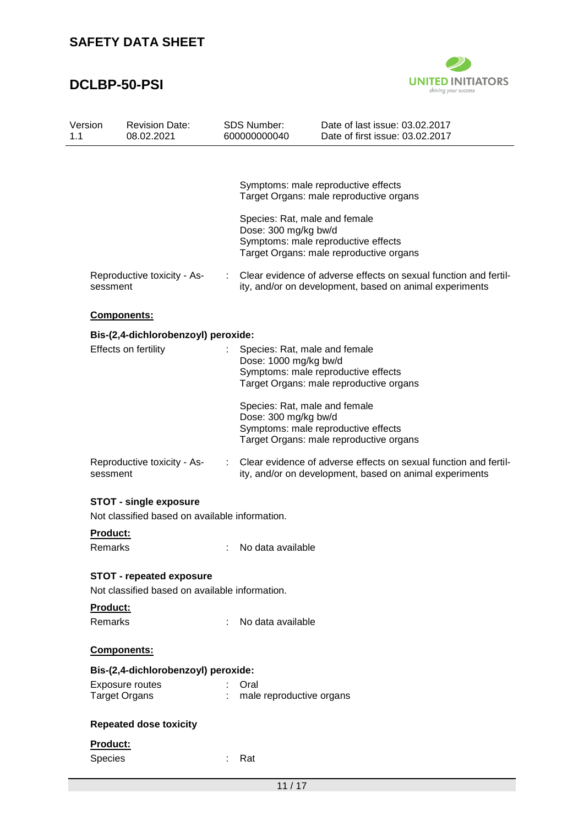# **DCLBP-50-PSI**



| Version<br>1.1                      | <b>Revision Date:</b><br>08.02.2021                                               | <b>SDS Number:</b><br>600000000040 | Date of last issue: 03.02.2017<br>Date of first issue: 03.02.2017                                                           |
|-------------------------------------|-----------------------------------------------------------------------------------|------------------------------------|-----------------------------------------------------------------------------------------------------------------------------|
|                                     |                                                                                   |                                    |                                                                                                                             |
|                                     |                                                                                   |                                    | Symptoms: male reproductive effects<br>Target Organs: male reproductive organs                                              |
|                                     |                                                                                   | Dose: 300 mg/kg bw/d               | Species: Rat, male and female<br>Symptoms: male reproductive effects<br>Target Organs: male reproductive organs             |
| sessment                            | Reproductive toxicity - As-                                                       |                                    | Clear evidence of adverse effects on sexual function and fertil-<br>ity, and/or on development, based on animal experiments |
|                                     | Components:                                                                       |                                    |                                                                                                                             |
|                                     | Bis-(2,4-dichlorobenzoyl) peroxide:                                               |                                    |                                                                                                                             |
|                                     | Effects on fertility                                                              | Dose: 1000 mg/kg bw/d              | Species: Rat, male and female<br>Symptoms: male reproductive effects<br>Target Organs: male reproductive organs             |
|                                     |                                                                                   | Dose: 300 mg/kg bw/d               | Species: Rat, male and female<br>Symptoms: male reproductive effects<br>Target Organs: male reproductive organs             |
| sessment                            | Reproductive toxicity - As-                                                       |                                    | Clear evidence of adverse effects on sexual function and fertil-<br>ity, and/or on development, based on animal experiments |
|                                     | <b>STOT - single exposure</b>                                                     |                                    |                                                                                                                             |
|                                     | Not classified based on available information.                                    |                                    |                                                                                                                             |
| <b>Product:</b><br>Remarks          |                                                                                   | No data available                  |                                                                                                                             |
|                                     | <b>STOT - repeated exposure</b><br>Not classified based on available information. |                                    |                                                                                                                             |
| Product:                            |                                                                                   |                                    |                                                                                                                             |
| Remarks                             |                                                                                   | No data available                  |                                                                                                                             |
|                                     | Components:                                                                       |                                    |                                                                                                                             |
| Bis-(2,4-dichlorobenzoyl) peroxide: |                                                                                   |                                    |                                                                                                                             |
|                                     | Exposure routes<br><b>Target Organs</b>                                           | Oral<br>male reproductive organs   |                                                                                                                             |
|                                     | <b>Repeated dose toxicity</b>                                                     |                                    |                                                                                                                             |
| Product:                            |                                                                                   |                                    |                                                                                                                             |
| Species                             |                                                                                   | Rat                                |                                                                                                                             |
|                                     |                                                                                   | 11/17                              |                                                                                                                             |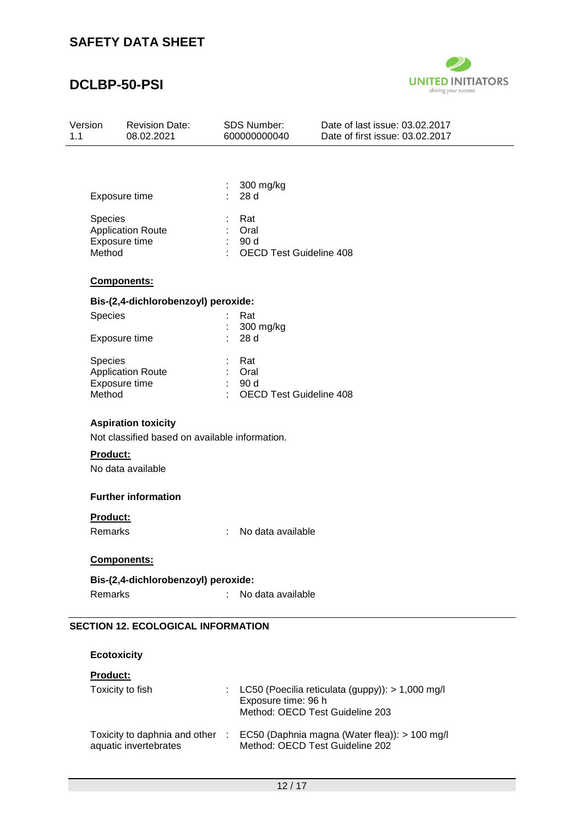### **DCLBP-50-PSI**



| Version | <b>Revision Date:</b> | SDS Number:  | Date of last issue: 03.02.2017  |
|---------|-----------------------|--------------|---------------------------------|
| 11      | 08.02.2021            | 600000000040 | Date of first issue: 03.02.2017 |
|         |                       |              |                                 |

| Exposure time            | $\therefore$ 300 mg/kg<br>28 d |
|--------------------------|--------------------------------|
| <b>Species</b>           | : Rat                          |
| <b>Application Route</b> | Oral                           |
| Exposure time            | 90 d                           |
| Method                   | <b>OECD Test Guideline 408</b> |
|                          |                                |

#### **Components:**

### **Bis-(2,4-dichlorobenzoyl) peroxide:**

| <b>Species</b>           |   | Rat                            |
|--------------------------|---|--------------------------------|
|                          |   | 300 mg/kg                      |
| Exposure time            |   | : 28d                          |
| <b>Species</b>           |   | Rat                            |
| <b>Application Route</b> | ÷ | Oral                           |
| Exposure time            |   | 90d                            |
| Method                   |   | <b>OECD Test Guideline 408</b> |

#### **Aspiration toxicity**

Not classified based on available information.

#### **Product:**

No data available

#### **Further information**

#### **Product:**

Remarks : No data available

#### **Components:**

**Bis-(2,4-dichlorobenzoyl) peroxide:** Remarks : No data available

#### **SECTION 12. ECOLOGICAL INFORMATION**

**Ecotoxicity**

#### **Product:**

| Toxicity to fish                                         | : LC50 (Poecilia reticulata (guppy)): $> 1,000$ mg/l<br>Exposure time: 96 h<br>Method: OECD Test Guideline 203 |
|----------------------------------------------------------|----------------------------------------------------------------------------------------------------------------|
| Toxicity to daphnia and other :<br>aquatic invertebrates | EC50 (Daphnia magna (Water flea)): > 100 mg/l<br>Method: OECD Test Guideline 202                               |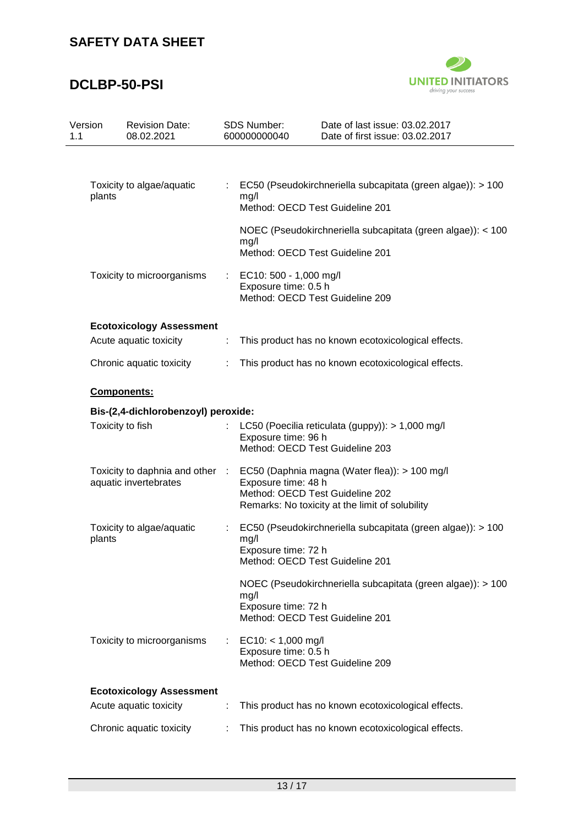# **DCLBP-50-PSI**



| Version<br>1.1 | <b>Revision Date:</b><br>08.02.2021                      |   | <b>SDS Number:</b><br>600000000040             | Date of last issue: 03.02.2017<br>Date of first issue: 03.02.2017                                                                   |
|----------------|----------------------------------------------------------|---|------------------------------------------------|-------------------------------------------------------------------------------------------------------------------------------------|
|                |                                                          |   |                                                |                                                                                                                                     |
|                | Toxicity to algae/aquatic<br>plants                      |   | mg/l                                           | EC50 (Pseudokirchneriella subcapitata (green algae)): > 100<br>Method: OECD Test Guideline 201                                      |
|                |                                                          |   | mg/l                                           | NOEC (Pseudokirchneriella subcapitata (green algae)): < 100<br>Method: OECD Test Guideline 201                                      |
|                | Toxicity to microorganisms                               |   | EC10: 500 - 1,000 mg/l<br>Exposure time: 0.5 h | Method: OECD Test Guideline 209                                                                                                     |
|                | <b>Ecotoxicology Assessment</b>                          |   |                                                |                                                                                                                                     |
|                | Acute aquatic toxicity                                   | ÷ |                                                | This product has no known ecotoxicological effects.                                                                                 |
|                | Chronic aquatic toxicity                                 | ÷ |                                                | This product has no known ecotoxicological effects.                                                                                 |
|                | Components:<br>Bis-(2,4-dichlorobenzoyl) peroxide:       |   |                                                |                                                                                                                                     |
|                |                                                          |   |                                                |                                                                                                                                     |
|                | Toxicity to fish                                         |   | Exposure time: 96 h                            | LC50 (Poecilia reticulata (guppy)): > 1,000 mg/l<br>Method: OECD Test Guideline 203                                                 |
|                | Toxicity to daphnia and other :<br>aquatic invertebrates |   | Exposure time: 48 h                            | EC50 (Daphnia magna (Water flea)): > 100 mg/l<br>Method: OECD Test Guideline 202<br>Remarks: No toxicity at the limit of solubility |
|                | Toxicity to algae/aquatic<br>plants                      |   | mg/l<br>Exposure time: 72 h                    | EC50 (Pseudokirchneriella subcapitata (green algae)): > 100<br>Method: OECD Test Guideline 201                                      |
|                |                                                          |   | mg/l<br>Exposure time: 72 h                    | NOEC (Pseudokirchneriella subcapitata (green algae)): > 100<br>Method: OECD Test Guideline 201                                      |
|                | Toxicity to microorganisms                               |   | $EC10: < 1,000$ mg/l<br>Exposure time: 0.5 h   | Method: OECD Test Guideline 209                                                                                                     |
|                | <b>Ecotoxicology Assessment</b>                          |   |                                                |                                                                                                                                     |
|                | Acute aquatic toxicity                                   |   |                                                | This product has no known ecotoxicological effects.                                                                                 |
|                | Chronic aquatic toxicity                                 |   |                                                | This product has no known ecotoxicological effects.                                                                                 |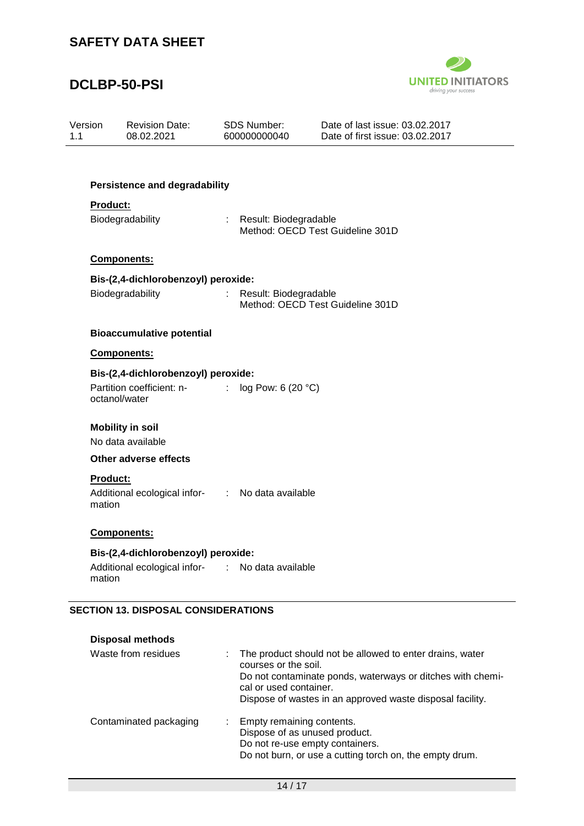### **DCLBP-50-PSI**



| Version<br>1.1                      | <b>Revision Date:</b><br>08.02.2021                                           |                       | <b>SDS Number:</b><br>600000000040                          | Date of last issue: 03.02.2017<br>Date of first issue: 03.02.2017                                                      |  |  |  |  |
|-------------------------------------|-------------------------------------------------------------------------------|-----------------------|-------------------------------------------------------------|------------------------------------------------------------------------------------------------------------------------|--|--|--|--|
|                                     |                                                                               |                       |                                                             |                                                                                                                        |  |  |  |  |
|                                     | <b>Persistence and degradability</b>                                          |                       |                                                             |                                                                                                                        |  |  |  |  |
|                                     | <b>Product:</b>                                                               |                       |                                                             |                                                                                                                        |  |  |  |  |
|                                     | Biodegradability                                                              |                       | : Result: Biodegradable<br>Method: OECD Test Guideline 301D |                                                                                                                        |  |  |  |  |
|                                     | Components:                                                                   |                       |                                                             |                                                                                                                        |  |  |  |  |
|                                     | Bis-(2,4-dichlorobenzoyl) peroxide:                                           |                       |                                                             |                                                                                                                        |  |  |  |  |
|                                     | Biodegradability                                                              | $\mathbb{Z}^{\times}$ | Result: Biodegradable                                       | Method: OECD Test Guideline 301D                                                                                       |  |  |  |  |
|                                     | <b>Bioaccumulative potential</b>                                              |                       |                                                             |                                                                                                                        |  |  |  |  |
|                                     | Components:                                                                   |                       |                                                             |                                                                                                                        |  |  |  |  |
| Bis-(2,4-dichlorobenzoyl) peroxide: |                                                                               |                       |                                                             |                                                                                                                        |  |  |  |  |
|                                     | Partition coefficient: n-<br>:<br>octanol/water                               |                       | log Pow: 6 (20 °C)                                          |                                                                                                                        |  |  |  |  |
|                                     | <b>Mobility in soil</b><br>No data available                                  |                       |                                                             |                                                                                                                        |  |  |  |  |
|                                     | <b>Other adverse effects</b>                                                  |                       |                                                             |                                                                                                                        |  |  |  |  |
|                                     | <b>Product:</b><br>Additional ecological infor- : No data available<br>mation |                       |                                                             |                                                                                                                        |  |  |  |  |
|                                     | <b>Components:</b>                                                            |                       |                                                             |                                                                                                                        |  |  |  |  |
|                                     | Bis-(2,4-dichlorobenzoyl) peroxide:                                           |                       |                                                             |                                                                                                                        |  |  |  |  |
|                                     | Additional ecological infor-<br>mation                                        | t.                    | No data available                                           |                                                                                                                        |  |  |  |  |
|                                     | <b>SECTION 13. DISPOSAL CONSIDERATIONS</b>                                    |                       |                                                             |                                                                                                                        |  |  |  |  |
|                                     | <b>Disposal methods</b>                                                       |                       |                                                             |                                                                                                                        |  |  |  |  |
|                                     | Waste from residues                                                           |                       | courses or the soil.                                        | The product should not be allowed to enter drains, water<br>Do not contaminate ponds, waterways or ditches with chemi- |  |  |  |  |

|                        | Dispose of wastes in an approved waste disposal facility. |
|------------------------|-----------------------------------------------------------|
| Contaminated packaging | : Empty remaining contents.                               |
|                        | Dispose of as unused product.                             |
|                        | Do not re-use empty containers.                           |
|                        | Do not burn, or use a cutting torch on, the empty drum.   |

cal or used container.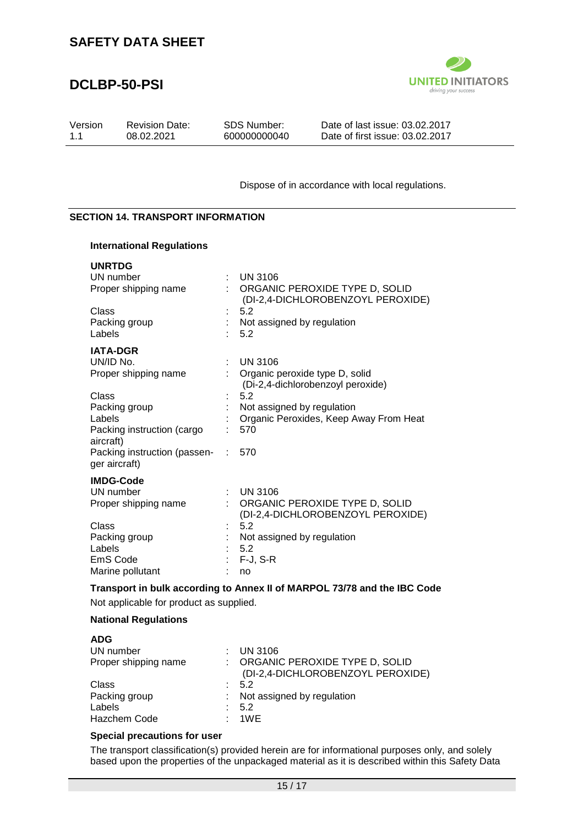### **DCLBP-50-PSI**



| Version | <b>Revision Date:</b> | SDS Number:  | Date of last issue: 03.02.2017  |
|---------|-----------------------|--------------|---------------------------------|
| 11      | 08.02.2021            | 600000000040 | Date of first issue: 03.02.2017 |

Dispose of in accordance with local regulations.

#### **SECTION 14. TRANSPORT INFORMATION**

### **International Regulations**

| <b>UNRTDG</b>                                 |   |                                                                     |
|-----------------------------------------------|---|---------------------------------------------------------------------|
| UN number                                     |   | <b>UN 3106</b>                                                      |
| Proper shipping name                          |   | ORGANIC PEROXIDE TYPE D, SOLID<br>(DI-2,4-DICHLOROBENZOYL PEROXIDE) |
| Class                                         |   | 5.2                                                                 |
| Packing group                                 |   | Not assigned by regulation                                          |
| Labels                                        |   | 5.2                                                                 |
| <b>IATA-DGR</b>                               |   |                                                                     |
| UN/ID No.                                     |   | <b>UN 3106</b>                                                      |
| Proper shipping name                          |   | Organic peroxide type D, solid<br>(Di-2,4-dichlorobenzoyl peroxide) |
| Class                                         |   | 5.2                                                                 |
| Packing group                                 |   | Not assigned by regulation                                          |
| Labels                                        |   | Organic Peroxides, Keep Away From Heat                              |
| Packing instruction (cargo<br>aircraft)       |   | 570                                                                 |
| Packing instruction (passen-<br>ger aircraft) |   | : 570                                                               |
| <b>IMDG-Code</b>                              |   |                                                                     |
| UN number                                     | ÷ | <b>UN 3106</b>                                                      |
| Proper shipping name                          |   | ORGANIC PEROXIDE TYPE D, SOLID                                      |
|                                               |   | (DI-2,4-DICHLOROBENZOYL PEROXIDE)                                   |
| Class                                         |   | 5.2                                                                 |
| Packing group                                 |   | Not assigned by regulation                                          |
| Labels                                        |   | 5.2                                                                 |
| EmS Code                                      |   | $F-J, S-R$                                                          |
| Marine pollutant                              |   | no                                                                  |

#### **Transport in bulk according to Annex II of MARPOL 73/78 and the IBC Code**

Not applicable for product as supplied.

#### **National Regulations**

| <b>ADG</b>           |     |                                   |
|----------------------|-----|-----------------------------------|
| UN number            |     | $:$ UN 3106                       |
| Proper shipping name |     | : ORGANIC PEROXIDE TYPE D, SOLID  |
|                      |     | (DI-2,4-DICHLOROBENZOYL PEROXIDE) |
| Class                |     | $\therefore$ 5.2                  |
| Packing group        |     | Not assigned by regulation        |
| Labels               |     | 5.2                               |
| Hazchem Code         | . . | 1WE                               |

#### **Special precautions for user**

The transport classification(s) provided herein are for informational purposes only, and solely based upon the properties of the unpackaged material as it is described within this Safety Data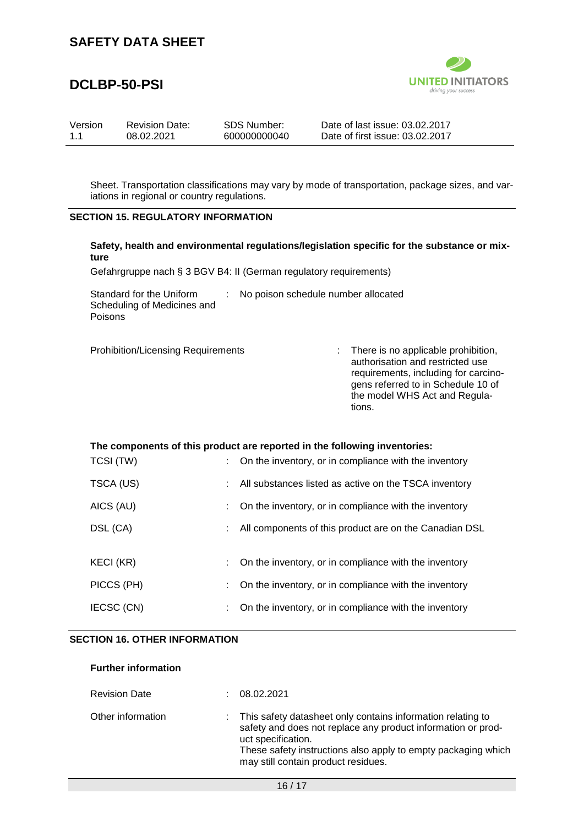### **DCLBP-50-PSI**



| Version | <b>Revision Date:</b> | SDS Number:  | Date of last issue: 03.02.2017  |
|---------|-----------------------|--------------|---------------------------------|
| 1.1     | 08.02.2021            | 600000000040 | Date of first issue: 03.02.2017 |

Sheet. Transportation classifications may vary by mode of transportation, package sizes, and variations in regional or country regulations.

#### **SECTION 15. REGULATORY INFORMATION**

|      |  | Safety, health and environmental regulations/legislation specific for the substance or mix- |  |  |
|------|--|---------------------------------------------------------------------------------------------|--|--|
| ture |  |                                                                                             |  |  |

Gefahrgruppe nach § 3 BGV B4: II (German regulatory requirements)

Standard for the Uniform Scheduling of Medicines and Poisons : No poison schedule number allocated

Prohibition/Licensing Requirements : There is no applicable prohibition, authorisation and restricted use requirements, including for carcinogens referred to in Schedule 10 of the model WHS Act and Regulations.

#### **The components of this product are reported in the following inventories:**

| TCSI (TW)  | : On the inventory, or in compliance with the inventory |
|------------|---------------------------------------------------------|
| TSCA (US)  | All substances listed as active on the TSCA inventory   |
| AICS (AU)  | On the inventory, or in compliance with the inventory   |
| DSL (CA)   | All components of this product are on the Canadian DSL  |
|            |                                                         |
| KECI (KR)  | On the inventory, or in compliance with the inventory   |
| PICCS (PH) | On the inventory, or in compliance with the inventory   |
| IECSC (CN) | On the inventory, or in compliance with the inventory   |

#### **SECTION 16. OTHER INFORMATION**

**Further information**

| <b>Revision Date</b> | <b>Contract</b> | 08.02.2021                                                                                                                                                                                                                                                |
|----------------------|-----------------|-----------------------------------------------------------------------------------------------------------------------------------------------------------------------------------------------------------------------------------------------------------|
| Other information    |                 | This safety datasheet only contains information relating to<br>safety and does not replace any product information or prod-<br>uct specification.<br>These safety instructions also apply to empty packaging which<br>may still contain product residues. |